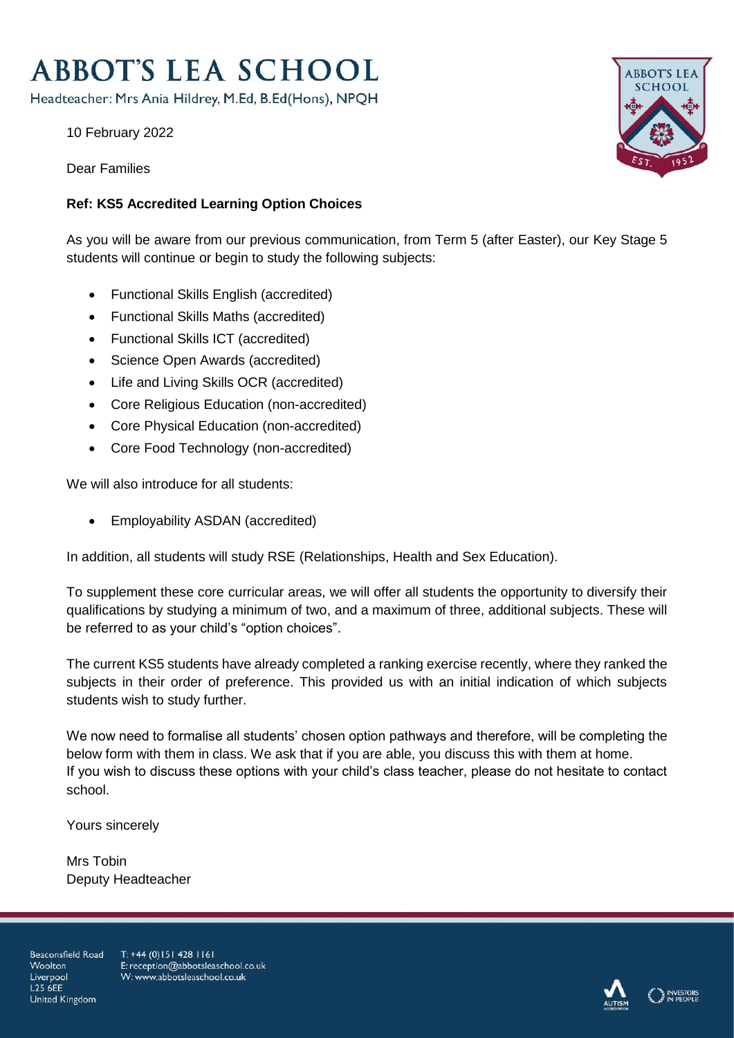# **ABBOT'S LEA SCHOOL**

Headteacher: Mrs Ania Hildrey, M.Ed, B.Ed(Hons), NPQH

10 February 2022

Dear Families

# **Ref: KS5 Accredited Learning Option Choices**

As you will be aware from our previous communication, from Term 5 (after Easter), our Key Stage 5 students will continue or begin to study the following subjects:

- Functional Skills English (accredited)
- Functional Skills Maths (accredited)
- Functional Skills ICT (accredited)
- Science Open Awards (accredited)
- Life and Living Skills OCR (accredited)
- Core Religious Education (non-accredited)
- Core Physical Education (non-accredited)
- Core Food Technology (non-accredited)

We will also introduce for all students:

Employability ASDAN (accredited)

In addition, all students will study RSE (Relationships, Health and Sex Education).

To supplement these core curricular areas, we will offer all students the opportunity to diversify their qualifications by studying a minimum of two, and a maximum of three, additional subjects. These will be referred to as your child's "option choices".

The current KS5 students have already completed a ranking exercise recently, where they ranked the subjects in their order of preference. This provided us with an initial indication of which subjects students wish to study further.

We now need to formalise all students' chosen option pathways and therefore, will be completing the below form with them in class. We ask that if you are able, you discuss this with them at home. If you wish to discuss these options with your child's class teacher, please do not hesitate to contact school.

Yours sincerely

Mrs Tobin Deputy Headteacher

Beaconsfield Road Woolton Liverpool **L25 6FF** United Kingdom

T: +44 (0)151 428 1161 E: reception@abbotsleaschool.co.uk W: www.abbotsleaschool.co.uk